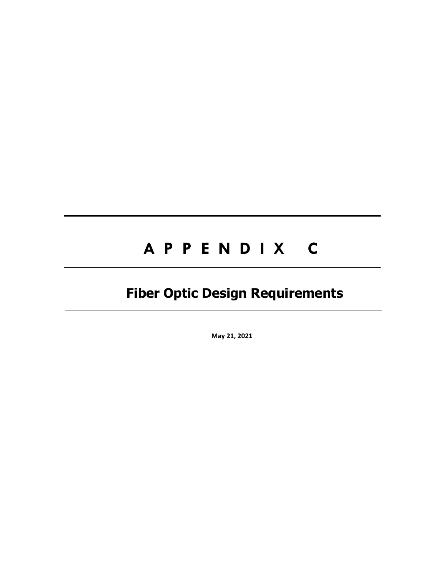# **A P P E N D I X C**

## **Fiber Optic Design Requirements**

**May 21, 2021**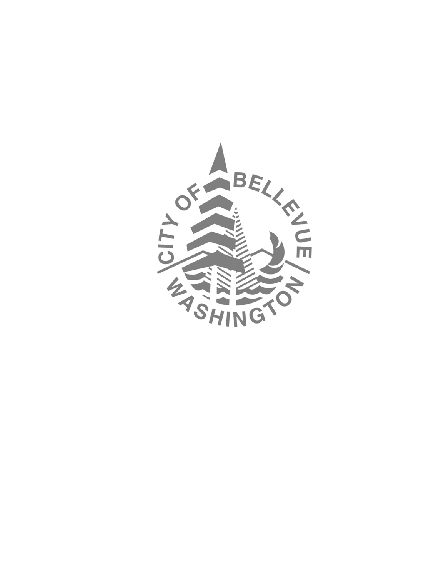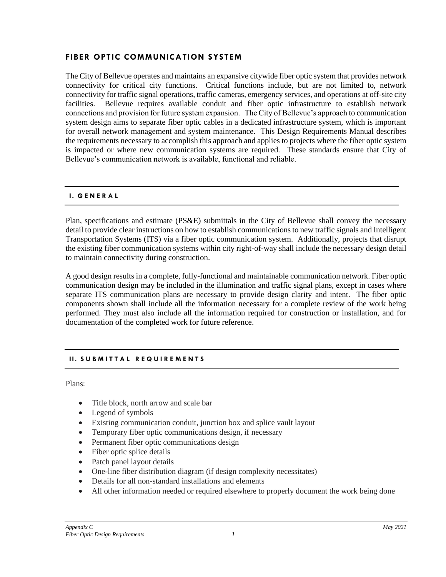## **FIBER OPTIC COMMUNICATION SYSTEM**

The City of Bellevue operates and maintains an expansive citywide fiber optic system that provides network connectivity for critical city functions. Critical functions include, but are not limited to, network connectivity for traffic signal operations, traffic cameras, emergency services, and operations at off-site city facilities. Bellevue requires available conduit and fiber optic infrastructure to establish network connections and provision for future system expansion. The City of Bellevue's approach to communication system design aims to separate fiber optic cables in a dedicated infrastructure system, which is important for overall network management and system maintenance. This Design Requirements Manual describes the requirements necessary to accomplish this approach and applies to projects where the fiber optic system is impacted or where new communication systems are required. These standards ensure that City of Bellevue's communication network is available, functional and reliable.

#### **I. G E N E R A L**

Plan, specifications and estimate (PS&E) submittals in the City of Bellevue shall convey the necessary detail to provide clear instructions on how to establish communications to new traffic signals and Intelligent Transportation Systems (ITS) via a fiber optic communication system. Additionally, projects that disrupt the existing fiber communication systems within city right-of-way shall include the necessary design detail to maintain connectivity during construction.

A good design results in a complete, fully-functional and maintainable communication network. Fiber optic communication design may be included in the illumination and traffic signal plans, except in cases where separate ITS communication plans are necessary to provide design clarity and intent. The fiber optic components shown shall include all the information necessary for a complete review of the work being performed. They must also include all the information required for construction or installation, and for documentation of the completed work for future reference.

#### **II. S U B M I T T A L R E Q U I R E M E N T S**

Plans:

- Title block, north arrow and scale bar
- Legend of symbols
- Existing communication conduit, junction box and splice vault layout
- Temporary fiber optic communications design, if necessary
- Permanent fiber optic communications design
- Fiber optic splice details
- Patch panel layout details
- One-line fiber distribution diagram (if design complexity necessitates)
- Details for all non-standard installations and elements
- All other information needed or required elsewhere to properly document the work being done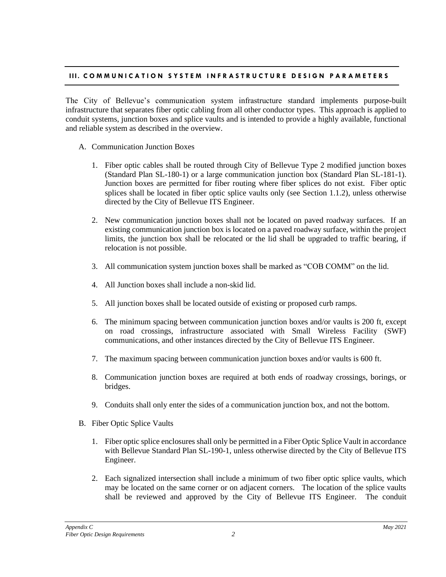#### **III. C O M M U N I C A T I O N S Y S T E M I N F R A S T R U C T U R E D E S I G N P A R A M E T E R S**

The City of Bellevue's communication system infrastructure standard implements purpose-built infrastructure that separates fiber optic cabling from all other conductor types. This approach is applied to conduit systems, junction boxes and splice vaults and is intended to provide a highly available, functional and reliable system as described in the overview.

- A. Communication Junction Boxes
	- 1. Fiber optic cables shall be routed through City of Bellevue Type 2 modified junction boxes (Standard Plan SL-180-1) or a large communication junction box (Standard Plan SL-181-1). Junction boxes are permitted for fiber routing where fiber splices do not exist. Fiber optic splices shall be located in fiber optic splice vaults only (see Section 1.1.2), unless otherwise directed by the City of Bellevue ITS Engineer.
	- 2. New communication junction boxes shall not be located on paved roadway surfaces. If an existing communication junction box is located on a paved roadway surface, within the project limits, the junction box shall be relocated or the lid shall be upgraded to traffic bearing, if relocation is not possible.
	- 3. All communication system junction boxes shall be marked as "COB COMM" on the lid.
	- 4. All Junction boxes shall include a non-skid lid.
	- 5. All junction boxes shall be located outside of existing or proposed curb ramps.
	- 6. The minimum spacing between communication junction boxes and/or vaults is 200 ft, except on road crossings, infrastructure associated with Small Wireless Facility (SWF) communications, and other instances directed by the City of Bellevue ITS Engineer.
	- 7. The maximum spacing between communication junction boxes and/or vaults is 600 ft.
	- 8. Communication junction boxes are required at both ends of roadway crossings, borings, or bridges.
	- 9. Conduits shall only enter the sides of a communication junction box, and not the bottom.
- B. Fiber Optic Splice Vaults
	- 1. Fiber optic splice enclosures shall only be permitted in a Fiber Optic Splice Vault in accordance with Bellevue Standard Plan SL-190-1, unless otherwise directed by the City of Bellevue ITS Engineer.
	- 2. Each signalized intersection shall include a minimum of two fiber optic splice vaults, which may be located on the same corner or on adjacent corners. The location of the splice vaults shall be reviewed and approved by the City of Bellevue ITS Engineer. The conduit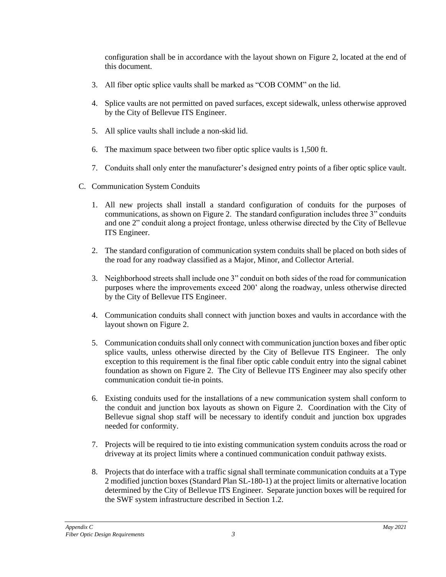configuration shall be in accordance with the layout shown on Figure 2, located at the end of this document.

- 3. All fiber optic splice vaults shall be marked as "COB COMM" on the lid.
- 4. Splice vaults are not permitted on paved surfaces, except sidewalk, unless otherwise approved by the City of Bellevue ITS Engineer.
- 5. All splice vaults shall include a non-skid lid.
- 6. The maximum space between two fiber optic splice vaults is 1,500 ft.
- 7. Conduits shall only enter the manufacturer's designed entry points of a fiber optic splice vault.
- C. Communication System Conduits
	- 1. All new projects shall install a standard configuration of conduits for the purposes of communications, as shown on Figure 2. The standard configuration includes three 3" conduits and one 2" conduit along a project frontage, unless otherwise directed by the City of Bellevue ITS Engineer.
	- 2. The standard configuration of communication system conduits shall be placed on both sides of the road for any roadway classified as a Major, Minor, and Collector Arterial.
	- 3. Neighborhood streets shall include one 3" conduit on both sides of the road for communication purposes where the improvements exceed 200' along the roadway, unless otherwise directed by the City of Bellevue ITS Engineer.
	- 4. Communication conduits shall connect with junction boxes and vaults in accordance with the layout shown on Figure 2.
	- 5. Communication conduits shall only connect with communication junction boxes and fiber optic splice vaults, unless otherwise directed by the City of Bellevue ITS Engineer. The only exception to this requirement is the final fiber optic cable conduit entry into the signal cabinet foundation as shown on Figure 2. The City of Bellevue ITS Engineer may also specify other communication conduit tie-in points.
	- 6. Existing conduits used for the installations of a new communication system shall conform to the conduit and junction box layouts as shown on Figure 2. Coordination with the City of Bellevue signal shop staff will be necessary to identify conduit and junction box upgrades needed for conformity.
	- 7. Projects will be required to tie into existing communication system conduits across the road or driveway at its project limits where a continued communication conduit pathway exists.
	- 8. Projects that do interface with a traffic signal shall terminate communication conduits at a Type 2 modified junction boxes (Standard Plan SL-180-1) at the project limits or alternative location determined by the City of Bellevue ITS Engineer. Separate junction boxes will be required for the SWF system infrastructure described in Section 1.2.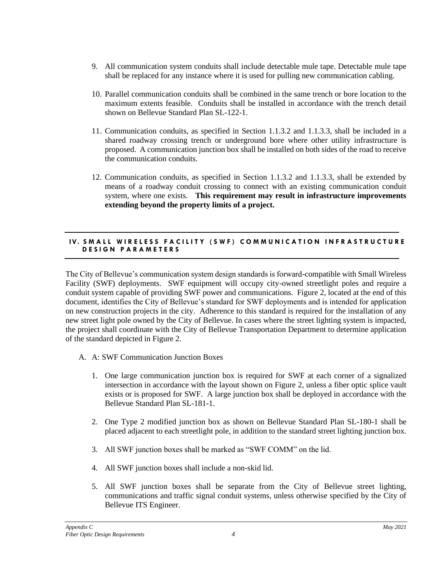- 9. All communication system conduits shall include detectable mule tape. Detectable mule tape shall be replaced for any instance where it is used for pulling new communication cabling.
- 10. Parallel communication conduits shall be combined in the same trench or bore location to the maximum extents feasible. Conduits shall be installed in accordance with the trench detail shown on Bellevue Standard Plan SL-122-1.
- 11. Communication conduits, as specified in Section 1.1.3.2 and 1.1.3.3, shall be included in a shared roadway crossing trench or underground bore where other utility infrastructure is proposed. A communication junction box shall be installed on both sides of the road to receive the communication conduits.
- 12. Communication conduits, as specified in Section 1.1.3.2 and 1.1.3.3, shall be extended by means of a roadway conduit crossing to connect with an existing communication conduit system, where one exists. **This requirement may result in infrastructure improvements extending beyond the property limits of a project.**

#### **IV.** SMALL WIRELESS FACILITY (SWF) COMMUNICATION INFRASTRUCTURE **D E S I G N P A R A M E T E R S**

The City of Bellevue's communication system design standards is forward-compatible with Small Wireless Facility (SWF) deployments. SWF equipment will occupy city-owned streetlight poles and require a conduit system capable of providing SWF power and communications. Figure 2, located at the end of this document, identifies the City of Bellevue's standard for SWF deployments and is intended for application on new construction projects in the city. Adherence to this standard is required for the installation of any new street light pole owned by the City of Bellevue. In cases where the street lighting system is impacted, the project shall coordinate with the City of Bellevue Transportation Department to determine application of the standard depicted in Figure 2.

- A. A: SWF Communication Junction Boxes
	- 1. One large communication junction box is required for SWF at each corner of a signalized intersection in accordance with the layout shown on Figure 2, unless a fiber optic splice vault exists or is proposed for SWF. A large junction box shall be deployed in accordance with the Bellevue Standard Plan SL-181-1.
	- 2. One Type 2 modified junction box as shown on Bellevue Standard Plan SL-180-1 shall be placed adjacent to each streetlight pole, in addition to the standard street lighting junction box.
	- 3. All SWF junction boxes shall be marked as "SWF COMM" on the lid.
	- 4. All SWF junction boxes shall include a non-skid lid.
	- 5. All SWF junction boxes shall be separate from the City of Bellevue street lighting, communications and traffic signal conduit systems, unless otherwise specified by the City of Bellevue ITS Engineer.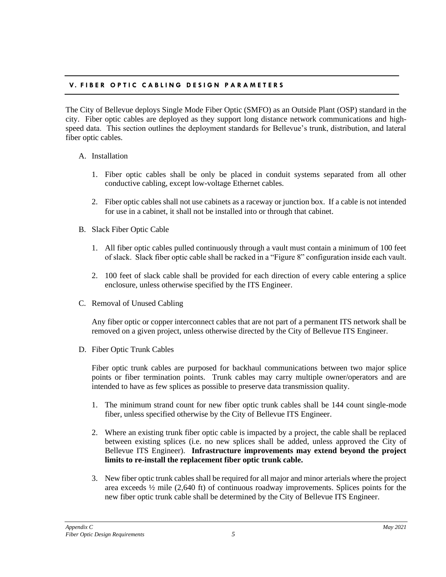#### **V. FIBER OPTIC CABLING DESIGN PARAMETERS**

The City of Bellevue deploys Single Mode Fiber Optic (SMFO) as an Outside Plant (OSP) standard in the city. Fiber optic cables are deployed as they support long distance network communications and highspeed data. This section outlines the deployment standards for Bellevue's trunk, distribution, and lateral fiber optic cables.

## A. Installation

- 1. Fiber optic cables shall be only be placed in conduit systems separated from all other conductive cabling, except low-voltage Ethernet cables.
- 2. Fiber optic cables shall not use cabinets as a raceway or junction box. If a cable is not intended for use in a cabinet, it shall not be installed into or through that cabinet.
- B. Slack Fiber Optic Cable
	- 1. All fiber optic cables pulled continuously through a vault must contain a minimum of 100 feet of slack. Slack fiber optic cable shall be racked in a "Figure 8" configuration inside each vault.
	- 2. 100 feet of slack cable shall be provided for each direction of every cable entering a splice enclosure, unless otherwise specified by the ITS Engineer.
- C. Removal of Unused Cabling

Any fiber optic or copper interconnect cables that are not part of a permanent ITS network shall be removed on a given project, unless otherwise directed by the City of Bellevue ITS Engineer.

D. Fiber Optic Trunk Cables

Fiber optic trunk cables are purposed for backhaul communications between two major splice points or fiber termination points. Trunk cables may carry multiple owner/operators and are intended to have as few splices as possible to preserve data transmission quality.

- 1. The minimum strand count for new fiber optic trunk cables shall be 144 count single-mode fiber, unless specified otherwise by the City of Bellevue ITS Engineer.
- 2. Where an existing trunk fiber optic cable is impacted by a project, the cable shall be replaced between existing splices (i.e. no new splices shall be added, unless approved the City of Bellevue ITS Engineer). **Infrastructure improvements may extend beyond the project limits to re-install the replacement fiber optic trunk cable.**
- 3. New fiber optic trunk cables shall be required for all major and minor arterials where the project area exceeds ½ mile (2,640 ft) of continuous roadway improvements. Splices points for the new fiber optic trunk cable shall be determined by the City of Bellevue ITS Engineer.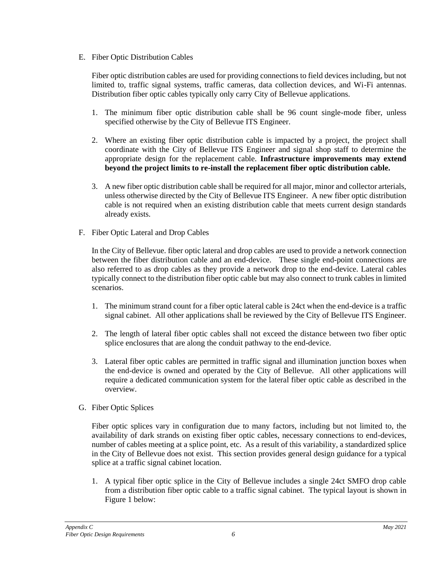E. Fiber Optic Distribution Cables

Fiber optic distribution cables are used for providing connections to field devices including, but not limited to, traffic signal systems, traffic cameras, data collection devices, and Wi-Fi antennas. Distribution fiber optic cables typically only carry City of Bellevue applications.

- 1. The minimum fiber optic distribution cable shall be 96 count single-mode fiber, unless specified otherwise by the City of Bellevue ITS Engineer.
- 2. Where an existing fiber optic distribution cable is impacted by a project, the project shall coordinate with the City of Bellevue ITS Engineer and signal shop staff to determine the appropriate design for the replacement cable. **Infrastructure improvements may extend beyond the project limits to re-install the replacement fiber optic distribution cable.**
- 3. A new fiber optic distribution cable shall be required for all major, minor and collector arterials, unless otherwise directed by the City of Bellevue ITS Engineer. A new fiber optic distribution cable is not required when an existing distribution cable that meets current design standards already exists.
- F. Fiber Optic Lateral and Drop Cables

In the City of Bellevue. fiber optic lateral and drop cables are used to provide a network connection between the fiber distribution cable and an end-device. These single end-point connections are also referred to as drop cables as they provide a network drop to the end-device. Lateral cables typically connect to the distribution fiber optic cable but may also connect to trunk cables in limited scenarios.

- 1. The minimum strand count for a fiber optic lateral cable is 24ct when the end-device is a traffic signal cabinet. All other applications shall be reviewed by the City of Bellevue ITS Engineer.
- 2. The length of lateral fiber optic cables shall not exceed the distance between two fiber optic splice enclosures that are along the conduit pathway to the end-device.
- 3. Lateral fiber optic cables are permitted in traffic signal and illumination junction boxes when the end-device is owned and operated by the City of Bellevue. All other applications will require a dedicated communication system for the lateral fiber optic cable as described in the overview.
- G. Fiber Optic Splices

Fiber optic splices vary in configuration due to many factors, including but not limited to, the availability of dark strands on existing fiber optic cables, necessary connections to end-devices, number of cables meeting at a splice point, etc. As a result of this variability, a standardized splice in the City of Bellevue does not exist. This section provides general design guidance for a typical splice at a traffic signal cabinet location.

1. A typical fiber optic splice in the City of Bellevue includes a single 24ct SMFO drop cable from a distribution fiber optic cable to a traffic signal cabinet. The typical layout is shown in Figure 1 below: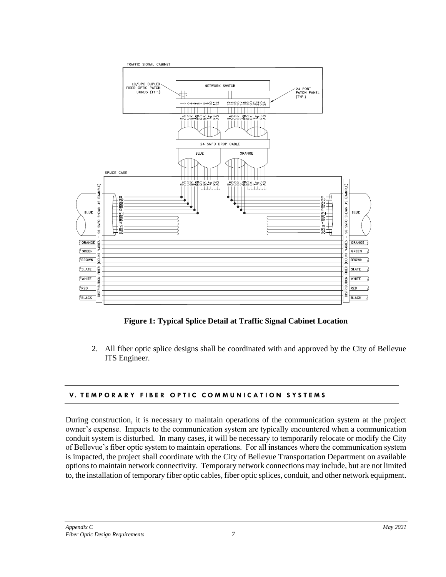

**Figure 1: Typical Splice Detail at Traffic Signal Cabinet Location**

2. All fiber optic splice designs shall be coordinated with and approved by the City of Bellevue ITS Engineer.

## **V. T E M P O R A R Y F I B E R O P T I C C O M M U N I C A T I O N S Y S T E M S**

During construction, it is necessary to maintain operations of the communication system at the project owner's expense. Impacts to the communication system are typically encountered when a communication conduit system is disturbed. In many cases, it will be necessary to temporarily relocate or modify the City of Bellevue's fiber optic system to maintain operations. For all instances where the communication system is impacted, the project shall coordinate with the City of Bellevue Transportation Department on available options to maintain network connectivity. Temporary network connections may include, but are not limited to, the installation of temporary fiber optic cables, fiber optic splices, conduit, and other network equipment.